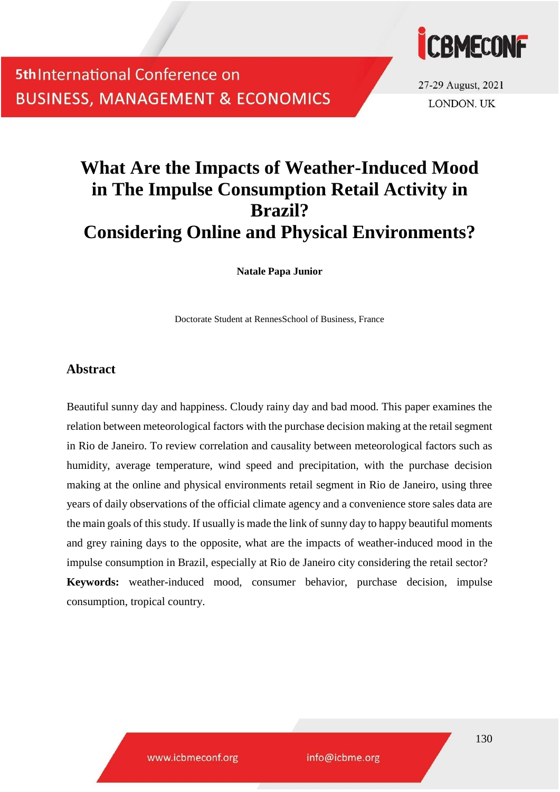

27-29 August, 2021 **LONDON, UK** 

## **What Are the Impacts of Weather-Induced Mood in The Impulse Consumption Retail Activity in Brazil? Considering Online and Physical Environments?**

**Natale Papa Junior**

Doctorate Student at RennesSchool of Business, France

### **Abstract**

Beautiful sunny day and happiness. Cloudy rainy day and bad mood. This paper examines the relation between meteorological factors with the purchase decision making at the retail segment in Rio de Janeiro. To review correlation and causality between meteorological factors such as humidity, average temperature, wind speed and precipitation, with the purchase decision making at the online and physical environments retail segment in Rio de Janeiro, using three years of daily observations of the official climate agency and a convenience store sales data are the main goals of this study. If usually is made the link of sunny day to happy beautiful moments and grey raining days to the opposite, what are the impacts of weather-induced mood in the impulse consumption in Brazil, especially at Rio de Janeiro city considering the retail sector? **Keywords:** weather-induced mood, consumer behavior, purchase decision, impulse consumption, tropical country.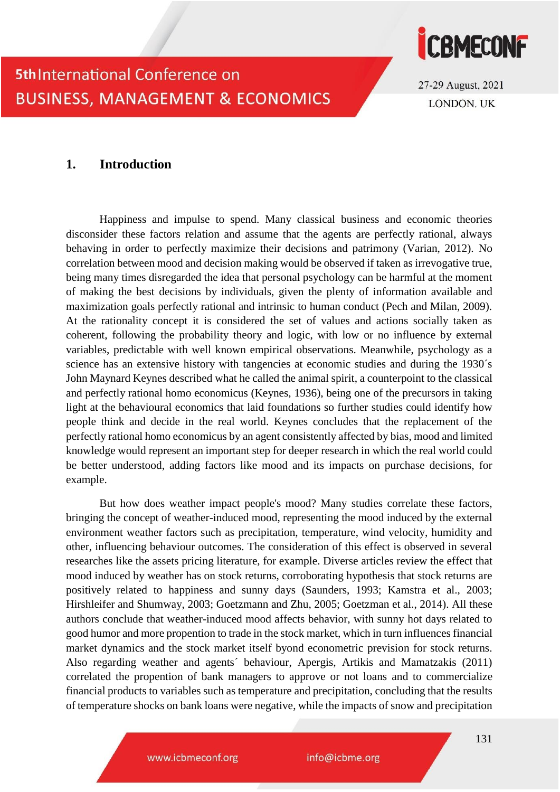

27-29 August, 2021 **LONDON, UK** 

### **1. Introduction**

Happiness and impulse to spend. Many classical business and economic theories disconsider these factors relation and assume that the agents are perfectly rational, always behaving in order to perfectly maximize their decisions and patrimony (Varian, 2012). No correlation between mood and decision making would be observed if taken as irrevogative true, being many times disregarded the idea that personal psychology can be harmful at the moment of making the best decisions by individuals, given the plenty of information available and maximization goals perfectly rational and intrinsic to human conduct (Pech and Milan, 2009). At the rationality concept it is considered the set of values and actions socially taken as coherent, following the probability theory and logic, with low or no influence by external variables, predictable with well known empirical observations. Meanwhile, psychology as a science has an extensive history with tangencies at economic studies and during the 1930's John Maynard Keynes described what he called the animal spirit, a counterpoint to the classical and perfectly rational homo economicus (Keynes, 1936), being one of the precursors in taking light at the behavioural economics that laid foundations so further studies could identify how people think and decide in the real world. Keynes concludes that the replacement of the perfectly rational homo economicus by an agent consistently affected by bias, mood and limited knowledge would represent an important step for deeper research in which the real world could be better understood, adding factors like mood and its impacts on purchase decisions, for example.

But how does weather impact people's mood? Many studies correlate these factors, bringing the concept of weather-induced mood, representing the mood induced by the external environment weather factors such as precipitation, temperature, wind velocity, humidity and other, influencing behaviour outcomes. The consideration of this effect is observed in several researches like the assets pricing literature, for example. Diverse articles review the effect that mood induced by weather has on stock returns, corroborating hypothesis that stock returns are positively related to happiness and sunny days (Saunders, 1993; Kamstra et al., 2003; Hirshleifer and Shumway, 2003; Goetzmann and Zhu, 2005; Goetzman et al., 2014). All these authors conclude that weather-induced mood affects behavior, with sunny hot days related to good humor and more propention to trade in the stock market, which in turn influences financial market dynamics and the stock market itself byond econometric prevision for stock returns. Also regarding weather and agents´ behaviour, Apergis, Artikis and Mamatzakis (2011) correlated the propention of bank managers to approve or not loans and to commercialize financial products to variables such as temperature and precipitation, concluding that the results of temperature shocks on bank loans were negative, while the impacts of snow and precipitation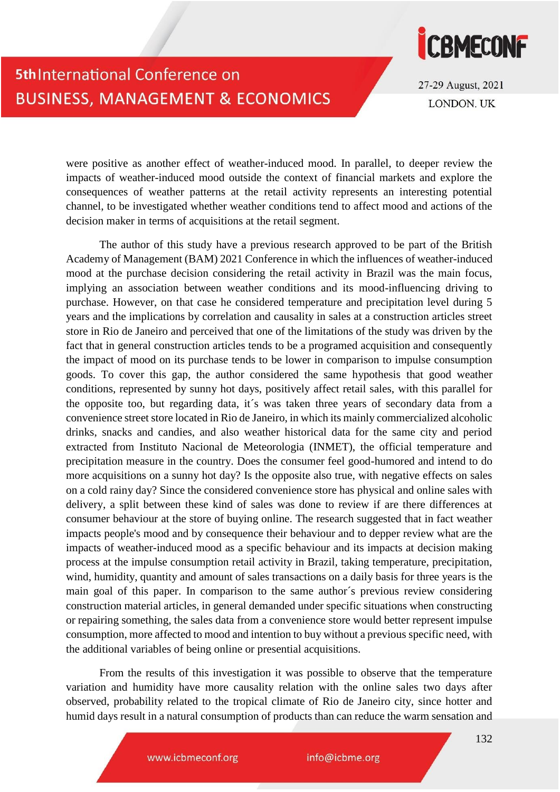

27-29 August, 2021 **LONDON, UK** 

were positive as another effect of weather-induced mood. In parallel, to deeper review the impacts of weather-induced mood outside the context of financial markets and explore the consequences of weather patterns at the retail activity represents an interesting potential channel, to be investigated whether weather conditions tend to affect mood and actions of the decision maker in terms of acquisitions at the retail segment.

The author of this study have a previous research approved to be part of the British Academy of Management (BAM) 2021 Conference in which the influences of weather-induced mood at the purchase decision considering the retail activity in Brazil was the main focus, implying an association between weather conditions and its mood-influencing driving to purchase. However, on that case he considered temperature and precipitation level during 5 years and the implications by correlation and causality in sales at a construction articles street store in Rio de Janeiro and perceived that one of the limitations of the study was driven by the fact that in general construction articles tends to be a programed acquisition and consequently the impact of mood on its purchase tends to be lower in comparison to impulse consumption goods. To cover this gap, the author considered the same hypothesis that good weather conditions, represented by sunny hot days, positively affect retail sales, with this parallel for the opposite too, but regarding data, it´s was taken three years of secondary data from a convenience street store located in Rio de Janeiro, in which its mainly commercialized alcoholic drinks, snacks and candies, and also weather historical data for the same city and period extracted from Instituto Nacional de Meteorologia (INMET), the official temperature and precipitation measure in the country. Does the consumer feel good-humored and intend to do more acquisitions on a sunny hot day? Is the opposite also true, with negative effects on sales on a cold rainy day? Since the considered convenience store has physical and online sales with delivery, a split between these kind of sales was done to review if are there differences at consumer behaviour at the store of buying online. The research suggested that in fact weather impacts people's mood and by consequence their behaviour and to depper review what are the impacts of weather-induced mood as a specific behaviour and its impacts at decision making process at the impulse consumption retail activity in Brazil, taking temperature, precipitation, wind, humidity, quantity and amount of sales transactions on a daily basis for three years is the main goal of this paper. In comparison to the same author´s previous review considering construction material articles, in general demanded under specific situations when constructing or repairing something, the sales data from a convenience store would better represent impulse consumption, more affected to mood and intention to buy without a previous specific need, with the additional variables of being online or presential acquisitions.

From the results of this investigation it was possible to observe that the temperature variation and humidity have more causality relation with the online sales two days after observed, probability related to the tropical climate of Rio de Janeiro city, since hotter and humid days result in a natural consumption of products than can reduce the warm sensation and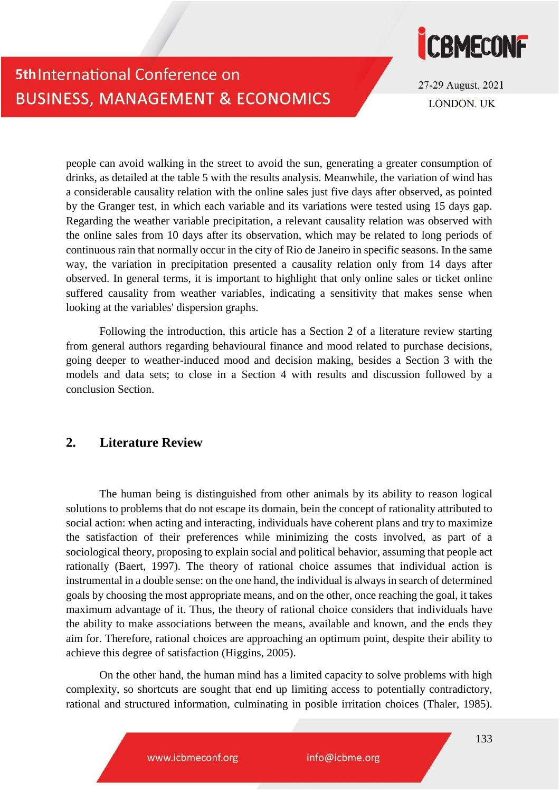

27-29 August, 2021 **LONDON, UK** 

people can avoid walking in the street to avoid the sun, generating a greater consumption of drinks, as detailed at the table 5 with the results analysis. Meanwhile, the variation of wind has a considerable causality relation with the online sales just five days after observed, as pointed by the Granger test, in which each variable and its variations were tested using 15 days gap. Regarding the weather variable precipitation, a relevant causality relation was observed with the online sales from 10 days after its observation, which may be related to long periods of continuous rain that normally occur in the city of Rio de Janeiro in specific seasons. In the same way, the variation in precipitation presented a causality relation only from 14 days after observed. In general terms, it is important to highlight that only online sales or ticket online suffered causality from weather variables, indicating a sensitivity that makes sense when looking at the variables' dispersion graphs.

Following the introduction, this article has a Section 2 of a literature review starting from general authors regarding behavioural finance and mood related to purchase decisions, going deeper to weather-induced mood and decision making, besides a Section 3 with the models and data sets; to close in a Section 4 with results and discussion followed by a conclusion Section.

### **2. Literature Review**

The human being is distinguished from other animals by its ability to reason logical solutions to problems that do not escape its domain, bein the concept of rationality attributed to social action: when acting and interacting, individuals have coherent plans and try to maximize the satisfaction of their preferences while minimizing the costs involved, as part of a sociological theory, proposing to explain social and political behavior, assuming that people act rationally (Baert, 1997). The theory of rational choice assumes that individual action is instrumental in a double sense: on the one hand, the individual is always in search of determined goals by choosing the most appropriate means, and on the other, once reaching the goal, it takes maximum advantage of it. Thus, the theory of rational choice considers that individuals have the ability to make associations between the means, available and known, and the ends they aim for. Therefore, rational choices are approaching an optimum point, despite their ability to achieve this degree of satisfaction (Higgins, 2005).

On the other hand, the human mind has a limited capacity to solve problems with high complexity, so shortcuts are sought that end up limiting access to potentially contradictory, rational and structured information, culminating in posible irritation choices (Thaler, 1985).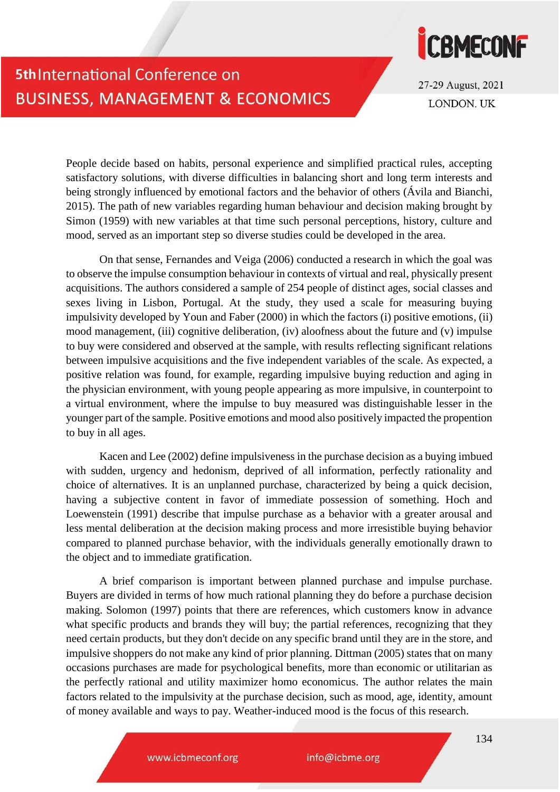

27-29 August, 2021 **LONDON, UK** 

People decide based on habits, personal experience and simplified practical rules, accepting satisfactory solutions, with diverse difficulties in balancing short and long term interests and being strongly influenced by emotional factors and the behavior of others (Ávila and Bianchi, 2015). The path of new variables regarding human behaviour and decision making brought by Simon (1959) with new variables at that time such personal perceptions, history, culture and mood, served as an important step so diverse studies could be developed in the area.

On that sense, Fernandes and Veiga (2006) conducted a research in which the goal was to observe the impulse consumption behaviour in contexts of virtual and real, physically present acquisitions. The authors considered a sample of 254 people of distinct ages, social classes and sexes living in Lisbon, Portugal. At the study, they used a scale for measuring buying impulsivity developed by Youn and Faber (2000) in which the factors (i) positive emotions, (ii) mood management, (iii) cognitive deliberation, (iv) aloofness about the future and (v) impulse to buy were considered and observed at the sample, with results reflecting significant relations between impulsive acquisitions and the five independent variables of the scale. As expected, a positive relation was found, for example, regarding impulsive buying reduction and aging in the physician environment, with young people appearing as more impulsive, in counterpoint to a virtual environment, where the impulse to buy measured was distinguishable lesser in the younger part of the sample. Positive emotions and mood also positively impacted the propention to buy in all ages.

Kacen and Lee (2002) define impulsiveness in the purchase decision as a buying imbued with sudden, urgency and hedonism, deprived of all information, perfectly rationality and choice of alternatives. It is an unplanned purchase, characterized by being a quick decision, having a subjective content in favor of immediate possession of something. Hoch and Loewenstein (1991) describe that impulse purchase as a behavior with a greater arousal and less mental deliberation at the decision making process and more irresistible buying behavior compared to planned purchase behavior, with the individuals generally emotionally drawn to the object and to immediate gratification.

A brief comparison is important between planned purchase and impulse purchase. Buyers are divided in terms of how much rational planning they do before a purchase decision making. Solomon (1997) points that there are references, which customers know in advance what specific products and brands they will buy; the partial references, recognizing that they need certain products, but they don't decide on any specific brand until they are in the store, and impulsive shoppers do not make any kind of prior planning. Dittman (2005) states that on many occasions purchases are made for psychological benefits, more than economic or utilitarian as the perfectly rational and utility maximizer homo economicus. The author relates the main factors related to the impulsivity at the purchase decision, such as mood, age, identity, amount of money available and ways to pay. Weather-induced mood is the focus of this research.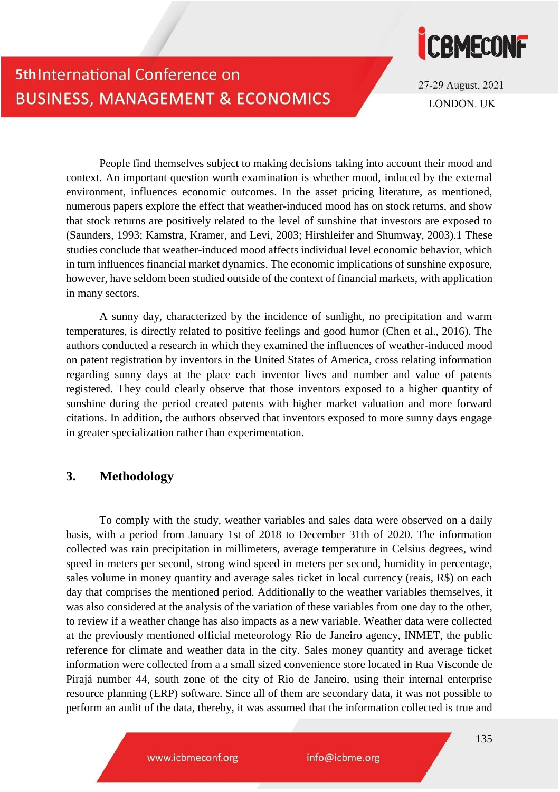

27-29 August, 2021 **LONDON, UK** 

People find themselves subject to making decisions taking into account their mood and context. An important question worth examination is whether mood, induced by the external environment, influences economic outcomes. In the asset pricing literature, as mentioned, numerous papers explore the effect that weather-induced mood has on stock returns, and show that stock returns are positively related to the level of sunshine that investors are exposed to (Saunders, 1993; Kamstra, Kramer, and Levi, 2003; Hirshleifer and Shumway, 2003).1 These studies conclude that weather-induced mood affects individual level economic behavior, which in turn influences financial market dynamics. The economic implications of sunshine exposure, however, have seldom been studied outside of the context of financial markets, with application in many sectors.

A sunny day, characterized by the incidence of sunlight, no precipitation and warm temperatures, is directly related to positive feelings and good humor (Chen et al., 2016). The authors conducted a research in which they examined the influences of weather-induced mood on patent registration by inventors in the United States of America, cross relating information regarding sunny days at the place each inventor lives and number and value of patents registered. They could clearly observe that those inventors exposed to a higher quantity of sunshine during the period created patents with higher market valuation and more forward citations. In addition, the authors observed that inventors exposed to more sunny days engage in greater specialization rather than experimentation.

### **3. Methodology**

To comply with the study, weather variables and sales data were observed on a daily basis, with a period from January 1st of 2018 to December 31th of 2020. The information collected was rain precipitation in millimeters, average temperature in Celsius degrees, wind speed in meters per second, strong wind speed in meters per second, humidity in percentage, sales volume in money quantity and average sales ticket in local currency (reais, R\$) on each day that comprises the mentioned period. Additionally to the weather variables themselves, it was also considered at the analysis of the variation of these variables from one day to the other, to review if a weather change has also impacts as a new variable. Weather data were collected at the previously mentioned official meteorology Rio de Janeiro agency, INMET, the public reference for climate and weather data in the city. Sales money quantity and average ticket information were collected from a a small sized convenience store located in Rua Visconde de Pirajá number 44, south zone of the city of Rio de Janeiro, using their internal enterprise resource planning (ERP) software. Since all of them are secondary data, it was not possible to perform an audit of the data, thereby, it was assumed that the information collected is true and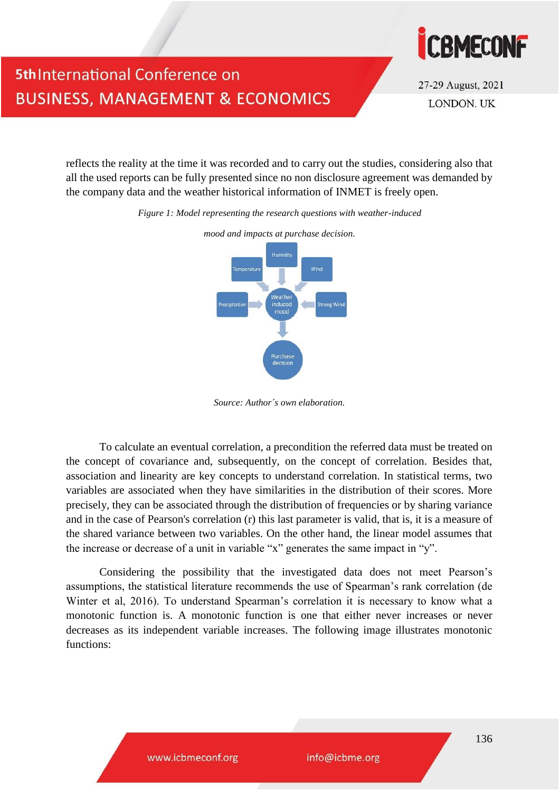

27-29 August, 2021 **LONDON, UK** 

reflects the reality at the time it was recorded and to carry out the studies, considering also that all the used reports can be fully presented since no non disclosure agreement was demanded by the company data and the weather historical information of INMET is freely open.

*Figure 1: Model representing the research questions with weather-induced*



*mood and impacts at purchase decision.*

*Source: Author´s own elaboration.*

To calculate an eventual correlation, a precondition the referred data must be treated on the concept of covariance and, subsequently, on the concept of correlation. Besides that, association and linearity are key concepts to understand correlation. In statistical terms, two variables are associated when they have similarities in the distribution of their scores. More precisely, they can be associated through the distribution of frequencies or by sharing variance and in the case of Pearson's correlation (r) this last parameter is valid, that is, it is a measure of the shared variance between two variables. On the other hand, the linear model assumes that the increase or decrease of a unit in variable "x" generates the same impact in "y".

Considering the possibility that the investigated data does not meet Pearson's assumptions, the statistical literature recommends the use of Spearman's rank correlation (de Winter et al, 2016). To understand Spearman's correlation it is necessary to know what a monotonic function is. A monotonic function is one that either never increases or never decreases as its independent variable increases. The following image illustrates monotonic functions: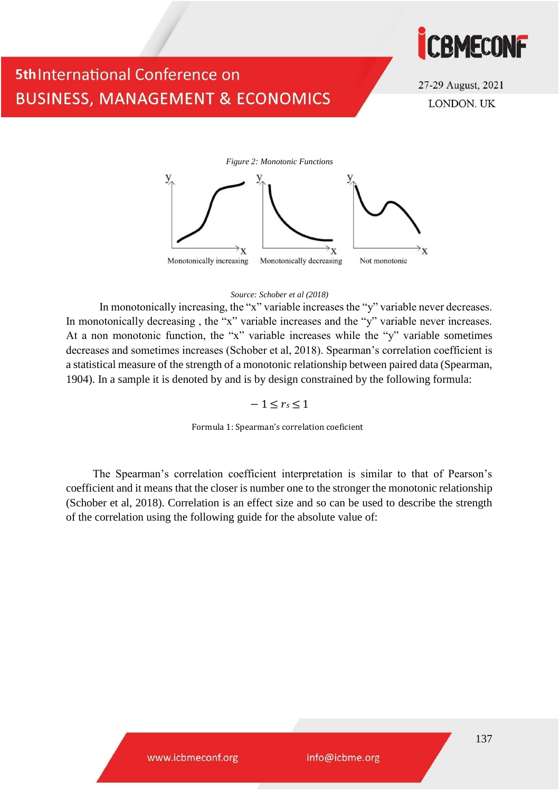

27-29 August, 2021 **LONDON, UK** 



#### *Source: Schober et al (2018)*

In monotonically increasing, the "x" variable increases the "y" variable never decreases. In monotonically decreasing , the "x" variable increases and the "y" variable never increases. At a non monotonic function, the "x" variable increases while the "y" variable sometimes decreases and sometimes increases (Schober et al, 2018). Spearman's correlation coefficient is a statistical measure of the strength of a monotonic relationship between paired data (Spearman, 1904). In a sample it is denoted by and is by design constrained by the following formula:

#### $-1 \le r_s \le 1$

Formula 1: Spearman's correlation coeficient

The Spearman's correlation coefficient interpretation is similar to that of Pearson's coefficient and it means that the closer is number one to the stronger the monotonic relationship (Schober et al, 2018). Correlation is an effect size and so can be used to describe the strength of the correlation using the following guide for the absolute value of: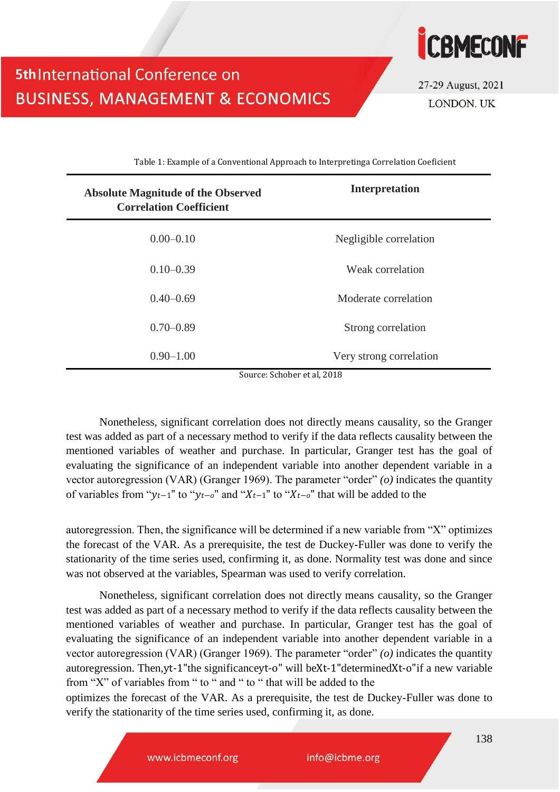

Table 1: Example of a Conventional Approach to Interpretinga Correlation Coeficient

**5th International Conference on** 

**BUSINESS, MANAGEMENT & ECONOMICS** 

| <b>Absolute Magnitude of the Observed</b><br><b>Correlation Coefficient</b> | <b>Interpretation</b>   |  |  |  |  |
|-----------------------------------------------------------------------------|-------------------------|--|--|--|--|
| $0.00 - 0.10$                                                               | Negligible correlation  |  |  |  |  |
| $0.10 - 0.39$                                                               | Weak correlation        |  |  |  |  |
| $0.40 - 0.69$                                                               | Moderate correlation    |  |  |  |  |
| $0.70 - 0.89$                                                               | Strong correlation      |  |  |  |  |
| $0.90 - 1.00$                                                               | Very strong correlation |  |  |  |  |

Source: Schober et al, 2018

Nonetheless, significant correlation does not directly means causality, so the Granger test was added as part of a necessary method to verify if the data reflects causality between the mentioned variables of weather and purchase. In particular, Granger test has the goal of evaluating the significance of an independent variable into another dependent variable in a vector autoregression (VAR) (Granger 1969). The parameter "order" *(o)* indicates the quantity of variables from " $y_{t-1}$ " to " $y_{t-o}$ " and " $X_{t-1}$ " to " $X_{t-o}$ " that will be added to the

autoregression. Then, the significance will be determined if a new variable from "X" optimizes the forecast of the VAR. As a prerequisite, the test de Duckey-Fuller was done to verify the stationarity of the time series used, confirming it, as done. Normality test was done and since was not observed at the variables, Spearman was used to verify correlation.

Nonetheless, significant correlation does not directly means causality, so the Granger test was added as part of a necessary method to verify if the data reflects causality between the mentioned variables of weather and purchase. In particular, Granger test has the goal of evaluating the significance of an independent variable into another dependent variable in a vector autoregression (VAR) (Granger 1969). The parameter "order" *(o)* indicates the quantity autoregression. Then,yt-1"the significanceyt-o" will beXt-1"determinedXt-o"if a new variable from "X" of variables from " to " and " to " that will be added to the

optimizes the forecast of the VAR. As a prerequisite, the test de Duckey-Fuller was done to verify the stationarity of the time series used, confirming it, as done.

www.icbmeconf.org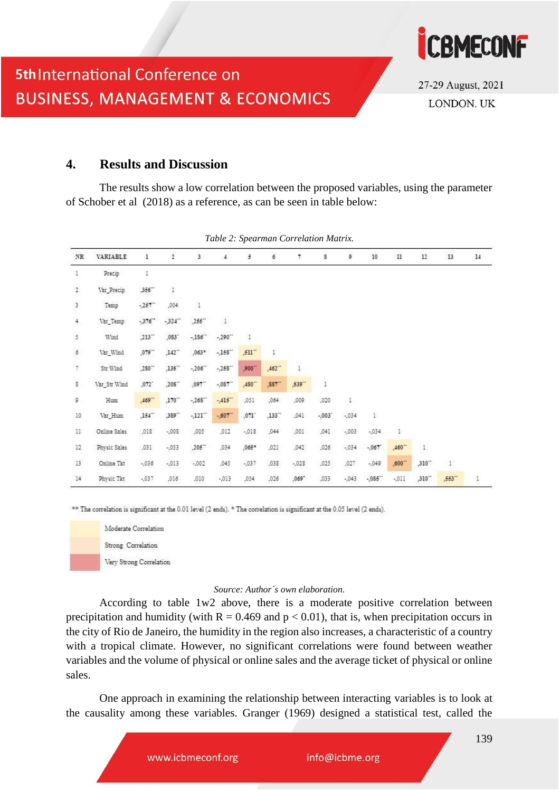

### **4. Results and Discussion**

The results show a low correlation between the proposed variables, using the parameter of Schober et al (2018) as a reference, as can be seen in table below:

| $_{\rm NR}$    | VARIABLE       | 1                    | $\overline{2}$       | 3                                | 4                    | 5        | 6                    | 7            | s              | 9       | 10       | $11\,$      | 12           | 13                   | 14 |
|----------------|----------------|----------------------|----------------------|----------------------------------|----------------------|----------|----------------------|--------------|----------------|---------|----------|-------------|--------------|----------------------|----|
| л.             | Precip         | 1                    |                      |                                  |                      |          |                      |              |                |         |          |             |              |                      |    |
| $\overline{a}$ | Var Precip     | ,356"                | $\ddagger$           |                                  |                      |          |                      |              |                |         |          |             |              |                      |    |
| $\mathfrak z$  | Temp           | $-257$               | ,004                 | $\frac{1}{2}$                    |                      |          |                      |              |                |         |          |             |              |                      |    |
| $\frac{1}{2}$  | Var_Temp       | $-376"$              | $-324$               | $,255^{\circ\circ}$              | $1\,$                |          |                      |              |                |         |          |             |              |                      |    |
| 5              | 222223<br>Wind | $,213\degree$        | ,083'                | $-186$                           | $-290^{+4}$          | $\,$ 1   |                      |              |                |         |          |             |              |                      |    |
| $\delta$       | Var Wind       | ,079                 | $,142$ <sup>**</sup> | $,063*$                          | $-158$ <sup>**</sup> | $,511 -$ | ì                    |              |                |         |          |             |              |                      |    |
| 7              | Str Wind       | ,280"                | $,135$ <sup>**</sup> | $-206$                           | $-258$ <sup>**</sup> | ,900**   | $.462 -$             | ï            |                |         |          |             |              |                      |    |
| ŝ              | Var Str Wind   | ,072.                | $,208^{-}$           | $,097$ <sup>**</sup>             | $-087$ <sup>**</sup> | ,480**   | $,887$ <sup>**</sup> | ,539**       | $\overline{1}$ |         |          |             |              |                      |    |
| 9              | Hum            | $,469$ <sup>**</sup> | $,170$ <sup>**</sup> | $-268$                           | $-415$               | ,051     | ,064                 | ,009.        | ,020           | ī.      |          |             |              |                      |    |
| 10             | Var Hum        | ,154"                | ,389                 | $-121$ <sup><math>-</math></sup> | $-0.607$             | ,071     | $,133$ <sup>**</sup> | ,041         | $-0.03$        | $-0.34$ | Þ        |             |              |                      |    |
| $11\,$         | Online Sales   | ,018                 | $-0.08$              | ,005                             | ,012                 | $-018$   | ,044                 | ,001         | ,041           | $-0.03$ | $-0.34$  | Ŧ           |              |                      |    |
| 12             | Physic Sales   | ,031                 | $-053$               | $,205$ <sup>**</sup>             | ,034                 | $,065*$  | ,021                 | ,042<br>- 95 | ,026           | $-034$  | $-0.067$ | $,460 -$    | $\mathbf{1}$ |                      |    |
| $13$           | Online Tkt     | $-.036$              | $-013$               | $-002$                           | ,045                 | $-037$   | ,038                 | $-.028$      | ,025           | ,027    | $-049$   | $,600^{-4}$ | ,310**       | r                    |    |
| 14             | Physic Tkt     | $-037$               | ,016                 | ,010                             | $-013$               | ,054     | ,026                 | ,069"        | ,033           | $-043$  | $-0.085$ | $-011$      | ,310"        | $,553$ <sup>**</sup> | ī  |

*Table 2: Spearman Correlation Matrix.*

\*\* The correlation is significant at the 0.01 level (2 ends). \* The correlation is significant at the 0.05 level (2 ends).



#### *Source: Author´s own elaboration.*

According to table 1w2 above, there is a moderate positive correlation between precipitation and humidity (with  $R = 0.469$  and  $p < 0.01$ ), that is, when precipitation occurs in the city of Rio de Janeiro, the humidity in the region also increases, a characteristic of a country with a tropical climate. However, no significant correlations were found between weather variables and the volume of physical or online sales and the average ticket of physical or online sales.

One approach in examining the relationship between interacting variables is to look at the causality among these variables. Granger (1969) designed a statistical test, called the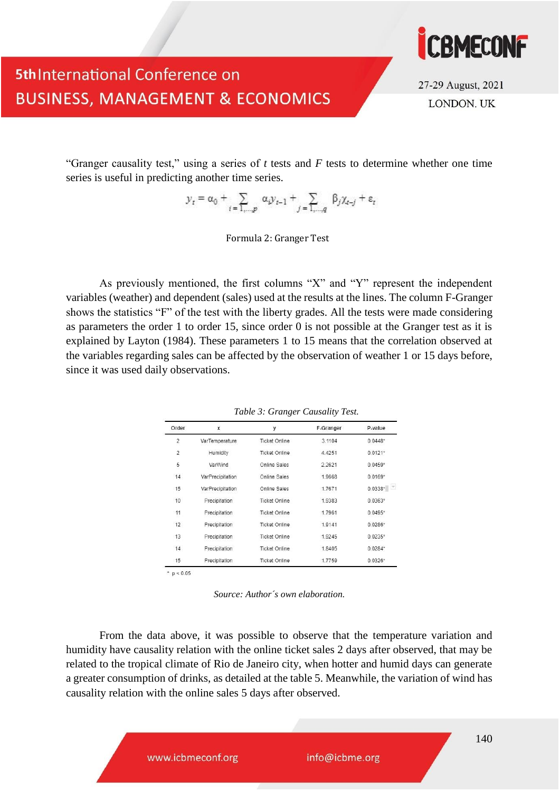

27-29 August, 2021 **LONDON, UK** 

"Granger causality test," using a series of *t* tests and *F* tests to determine whether one time series is useful in predicting another time series.

$$
y_t = \alpha_0 + \sum_{i=1,\dots,p} \alpha_i y_{t-1} + \sum_{j=1,\dots,q} \beta_j \chi_{t-j} + \varepsilon_t
$$

Formula 2: Granger Test

As previously mentioned, the first columns "X" and "Y" represent the independent variables (weather) and dependent (sales) used at the results at the lines. The column F-Granger shows the statistics "F" of the test with the liberty grades. All the tests were made considering as parameters the order 1 to order 15, since order 0 is not possible at the Granger test as it is explained by Layton (1984). These parameters 1 to 15 means that the correlation observed at the variables regarding sales can be affected by the observation of weather 1 or 15 days before, since it was used daily observations.

| Order          | x                | у                    | F-Granger | P-value   |  |  |
|----------------|------------------|----------------------|-----------|-----------|--|--|
| 2              | VarTemperature   | <b>Ticket Online</b> | 3.1104    | $0.0448*$ |  |  |
| $\overline{2}$ | Humidity         | <b>Ticket Online</b> | 4.4251    | $0.0121*$ |  |  |
| 5              | VarWind          | Online Sales         | 2.2621    | $0.0459*$ |  |  |
| 14             | VarPrecipitation | Online Sales         | 1.9668    | $0.0169*$ |  |  |
| 15             | VarPrecipitation | Online Sales         | 1.7671    | $0.0338*$ |  |  |
| 10             | Precipitation    | <b>Ticket Online</b> | 1.9383    | $0.0363*$ |  |  |
| 11<br>bЕ       | Precipitation    | <b>Ticket Online</b> | 1.7961    | $0.0495*$ |  |  |
| 12             | Precipitation    | <b>Ticket Online</b> | 1.9141    | $0.0286*$ |  |  |
| 13             | Precipitation    | <b>Ticket Online</b> | 1.9245    | $0.0235*$ |  |  |
| 14             | Precipitation    | <b>Ticket Online</b> | 1.8405    | $0.0284*$ |  |  |
| 15             | Precipitation    | <b>Ticket Online</b> | 1.7759    | $0.0326*$ |  |  |

*Table 3: Granger Causality Test.*

*Source: Author´s own elaboration.*

From the data above, it was possible to observe that the temperature variation and humidity have causality relation with the online ticket sales 2 days after observed, that may be related to the tropical climate of Rio de Janeiro city, when hotter and humid days can generate a greater consumption of drinks, as detailed at the table 5. Meanwhile, the variation of wind has causality relation with the online sales 5 days after observed.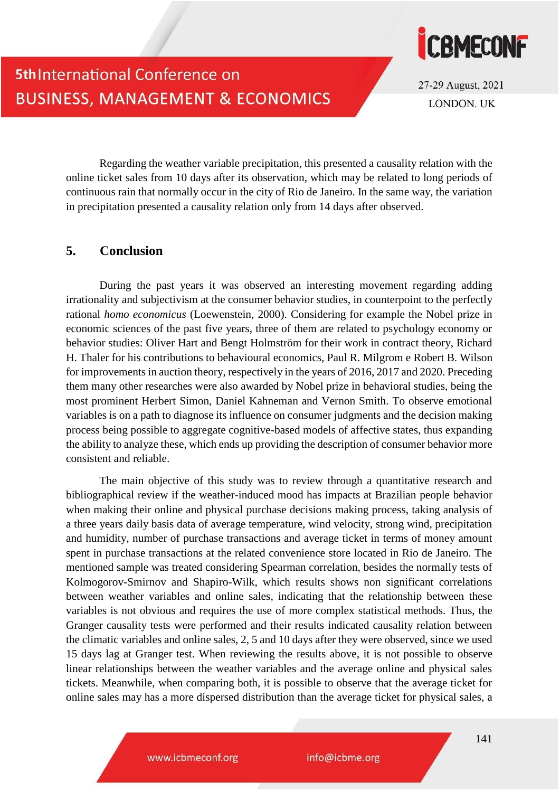

## 5th International Conference on **BUSINESS, MANAGEMENT & ECONOMICS**

Regarding the weather variable precipitation, this presented a causality relation with the online ticket sales from 10 days after its observation, which may be related to long periods of continuous rain that normally occur in the city of Rio de Janeiro. In the same way, the variation in precipitation presented a causality relation only from 14 days after observed.

### **5. Conclusion**

During the past years it was observed an interesting movement regarding adding irrationality and subjectivism at the consumer behavior studies, in counterpoint to the perfectly rational *homo economicus* (Loewenstein, 2000). Considering for example the Nobel prize in economic sciences of the past five years, three of them are related to psychology economy or behavior studies: Oliver Hart and Bengt Holmström for their work in contract theory, Richard H. Thaler for his contributions to behavioural economics, Paul R. Milgrom e Robert B. Wilson for improvements in auction theory, respectively in the years of 2016, 2017 and 2020. Preceding them many other researches were also awarded by Nobel prize in behavioral studies, being the most prominent Herbert Simon, Daniel Kahneman and Vernon Smith. To observe emotional variables is on a path to diagnose its influence on consumer judgments and the decision making process being possible to aggregate cognitive-based models of affective states, thus expanding the ability to analyze these, which ends up providing the description of consumer behavior more consistent and reliable.

The main objective of this study was to review through a quantitative research and bibliographical review if the weather-induced mood has impacts at Brazilian people behavior when making their online and physical purchase decisions making process, taking analysis of a three years daily basis data of average temperature, wind velocity, strong wind, precipitation and humidity, number of purchase transactions and average ticket in terms of money amount spent in purchase transactions at the related convenience store located in Rio de Janeiro. The mentioned sample was treated considering Spearman correlation, besides the normally tests of Kolmogorov-Smirnov and Shapiro-Wilk, which results shows non significant correlations between weather variables and online sales, indicating that the relationship between these variables is not obvious and requires the use of more complex statistical methods. Thus, the Granger causality tests were performed and their results indicated causality relation between the climatic variables and online sales, 2, 5 and 10 days after they were observed, since we used 15 days lag at Granger test. When reviewing the results above, it is not possible to observe linear relationships between the weather variables and the average online and physical sales tickets. Meanwhile, when comparing both, it is possible to observe that the average ticket for online sales may has a more dispersed distribution than the average ticket for physical sales, a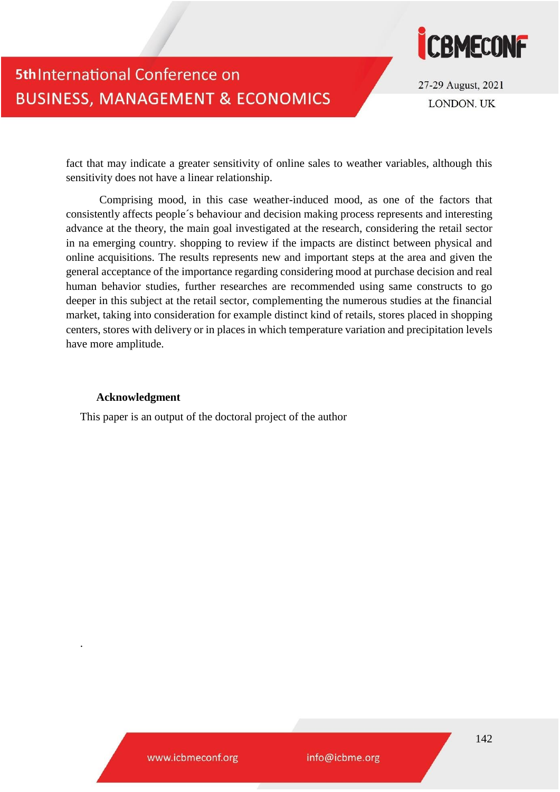

27-29 August, 2021 **LONDON, UK** 

fact that may indicate a greater sensitivity of online sales to weather variables, although this sensitivity does not have a linear relationship.

Comprising mood, in this case weather-induced mood, as one of the factors that consistently affects people´s behaviour and decision making process represents and interesting advance at the theory, the main goal investigated at the research, considering the retail sector in na emerging country. shopping to review if the impacts are distinct between physical and online acquisitions. The results represents new and important steps at the area and given the general acceptance of the importance regarding considering mood at purchase decision and real human behavior studies, further researches are recommended using same constructs to go deeper in this subject at the retail sector, complementing the numerous studies at the financial market, taking into consideration for example distinct kind of retails, stores placed in shopping centers, stores with delivery or in places in which temperature variation and precipitation levels have more amplitude.

#### **Acknowledgment**

.

This paper is an output of the doctoral project of the author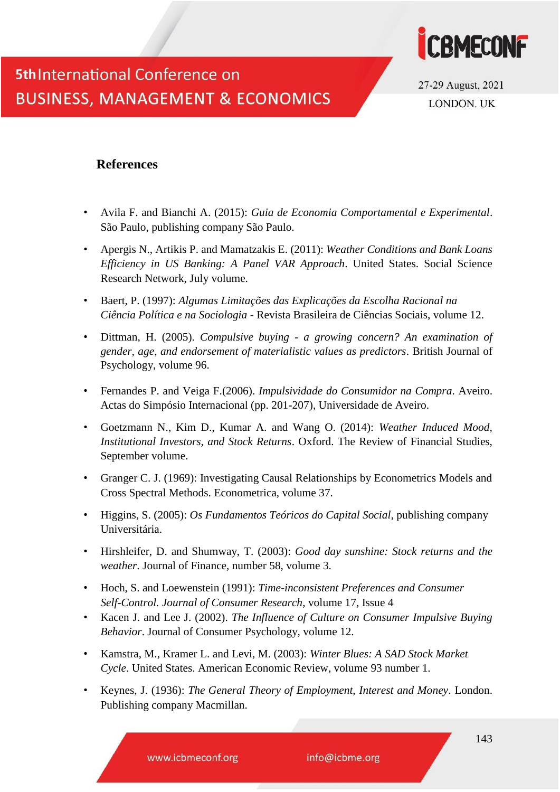

27-29 August, 2021 **LONDON, UK** 

### **References**

- Avila F. and Bianchi A. (2015): *Guia de Economia Comportamental e Experimental*. São Paulo, publishing company São Paulo.
- Apergis N., Artikis P. and Mamatzakis E. (2011): *Weather Conditions and Bank Loans Efficiency in US Banking: A Panel VAR Approach*. United States. Social Science Research Network, July volume.
- Baert, P. (1997): *Algumas Limitações das Explicações da Escolha Racional na Ciência Política e na Sociologia* - Revista Brasileira de Ciências Sociais, volume 12.
- Dittman, H. (2005). *Compulsive buying - a growing concern? An examination of gender, age, and endorsement of materialistic values as predictors*. British Journal of Psychology, volume 96.
- Fernandes P. and Veiga F.(2006). *Impulsividade do Consumidor na Compra*. Aveiro. Actas do Simpósio Internacional (pp. 201-207), Universidade de Aveiro.
- Goetzmann N., Kim D., Kumar A. and Wang O. (2014): *Weather Induced Mood, Institutional Investors, and Stock Returns*. Oxford. The Review of Financial Studies, September volume.
- Granger C. J. (1969): Investigating Causal Relationships by Econometrics Models and Cross Spectral Methods. Econometrica, volume 37.
- Higgins, S. (2005): *Os Fundamentos Teóricos do Capital Social*, publishing company Universitária.
- Hirshleifer, D. and Shumway, T. (2003): *Good day sunshine: Stock returns and the weather*. Journal of Finance, number 58, volume 3.
- Hoch, S. and Loewenstein (1991): *Time-inconsistent Preferences and Consumer Self-Control. Journal of Consumer Research*, volume 17, Issue 4
- Kacen J. and Lee J. (2002). *The Influence of Culture on Consumer Impulsive Buying Behavior*. Journal of Consumer Psychology, volume 12.
- Kamstra, M., Kramer L. and Levi, M. (2003): *Winter Blues: A SAD Stock Market Cycle*. United States. American Economic Review, volume 93 number 1.
- Keynes, J. (1936): *The General Theory of Employment, Interest and Money*. London. Publishing company Macmillan.

www.icbmeconf.org

info@icbme.org